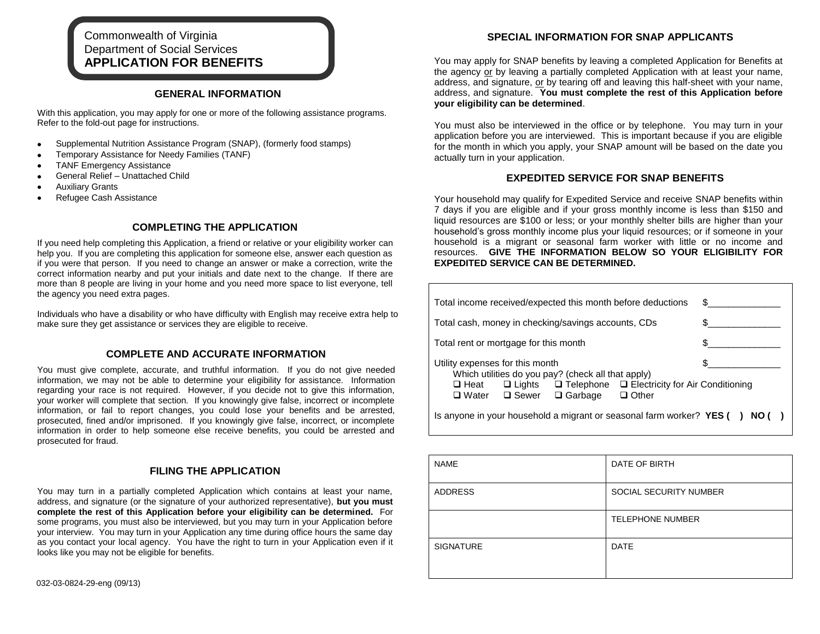# Commonwealth of Virginia Department of Social Services **APPLICATION FOR BENEFITS**

## **GENERAL INFORMATION**

With this application, you may apply for one or more of the following assistance programs. Refer to the fold-out page for instructions.

- Supplemental Nutrition Assistance Program (SNAP), (formerly food stamps)  $\bullet$
- Temporary Assistance for Needy Families (TANF)  $\bullet$
- TANF Emergency Assistance  $\bullet$
- General Relief Unattached Child  $\bullet$
- Auxiliary Grants  $\bullet$
- Refugee Cash Assistance  $\bullet$

# **COMPLETING THE APPLICATION**

If you need help completing this Application, a friend or relative or your eligibility worker can help you. If you are completing this application for someone else, answer each question as if you were that person. If you need to change an answer or make a correction, write the correct information nearby and put your initials and date next to the change. If there are more than 8 people are living in your home and you need more space to list everyone, tell the agency you need extra pages.

Individuals who have a disability or who have difficulty with English may receive extra help to make sure they get assistance or services they are eligible to receive.

### **COMPLETE AND ACCURATE INFORMATION**

You must give complete, accurate, and truthful information. If you do not give needed information, we may not be able to determine your eligibility for assistance. Information regarding your race is not required. However, if you decide not to give this information, your worker will complete that section. If you knowingly give false, incorrect or incomplete information, or fail to report changes, you could lose your benefits and be arrested, prosecuted, fined and/or imprisoned. If you knowingly give false, incorrect, or incomplete information in order to help someone else receive benefits, you could be arrested and prosecuted for fraud.

### **FILING THE APPLICATION**

You may turn in a partially completed Application which contains at least your name, address, and signature (or the signature of your authorized representative), **but you must complete the rest of this Application before your eligibility can be determined.** For some programs, you must also be interviewed, but you may turn in your Application before your interview. You may turn in your Application any time during office hours the same day as you contact your local agency. You have the right to turn in your Application even if it looks like you may not be eligible for benefits.

You may apply for SNAP benefits by leaving a completed Application for Benefits at the agency or by leaving a partially completed Application with at least your name, address, and signature, or by tearing off and leaving this half-sheet with your name, address, and signature. **You must complete the rest of this Application before your eligibility can be determined**.

You must also be interviewed in the office or by telephone. You may turn in your application before you are interviewed. This is important because if you are eligible for the month in which you apply, your SNAP amount will be based on the date you actually turn in your application.

# **EXPEDITED SERVICE FOR SNAP BENEFITS**

Your household may qualify for Expedited Service and receive SNAP benefits within 7 days if you are eligible and if your gross monthly income is less than \$150 and liquid resources are \$100 or less; or your monthly shelter bills are higher than your household's gross monthly income plus your liquid resources; or if someone in your household is a migrant or seasonal farm worker with little or no income and resources. **GIVE THE INFORMATION BELOW SO YOUR ELIGIBILITY FOR EXPEDITED SERVICE CAN BE DETERMINED.**

| Total income received/expected this month before deductions                                                                                                                                                                            | \$. |  |  |  |  |
|----------------------------------------------------------------------------------------------------------------------------------------------------------------------------------------------------------------------------------------|-----|--|--|--|--|
| Total cash, money in checking/savings accounts, CDs                                                                                                                                                                                    |     |  |  |  |  |
| Total rent or mortgage for this month                                                                                                                                                                                                  |     |  |  |  |  |
| Utility expenses for this month<br>Which utilities do you pay? (check all that apply)<br>$\Box$ Lights $\Box$ Telephone $\Box$ Electricity for Air Conditioning<br>$\square$ Heat<br>□ Water □ Sewer<br>$\Box$ Garbage<br>$\Box$ Other |     |  |  |  |  |
| Is anyone in your household a migrant or seasonal farm worker? $YES( )$<br>NO ()                                                                                                                                                       |     |  |  |  |  |

| <b>NAME</b>      | DATE OF BIRTH           |
|------------------|-------------------------|
| <b>ADDRESS</b>   | SOCIAL SECURITY NUMBER  |
|                  | <b>TELEPHONE NUMBER</b> |
| <b>SIGNATURE</b> | <b>DATE</b>             |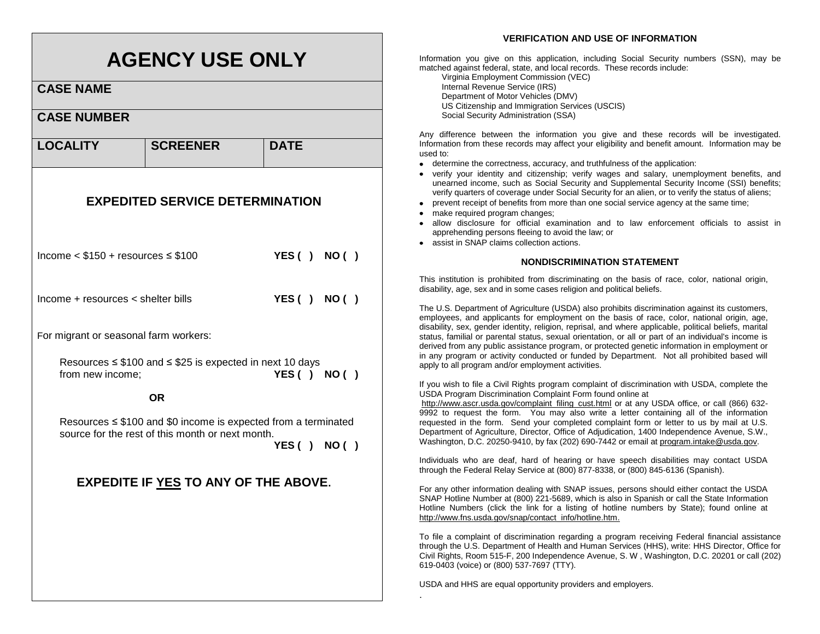# **AGENCY USE ONLY**

**CASE NAME**

# **CASE NUMBER LOCALITY** SCREENER DATE **EXPEDITED SERVICE DETERMINATION** Income < \$150 + resources ≤ \$100 **YES ( ) NO ( )** Income + resources < shelter bills **YES ( ) NO ( )** For migrant or seasonal farm workers: Resources ≤ \$100 and ≤ \$25 is expected in next 10 days from new income; **YES ( ) NO ( ) OR**

Resources ≤ \$100 and \$0 income is expected from a terminated source for the rest of this month or next month.

**YES ( ) NO ( )**

# **EXPEDITE IF YES TO ANY OF THE ABOVE.**

## **VERIFICATION AND USE OF INFORMATION**

Information you give on this application, including Social Security numbers (SSN), may be matched against federal, state, and local records. These records include:

Virginia Employment Commission (VEC) Internal Revenue Service (IRS) Department of Motor Vehicles (DMV) US Citizenship and Immigration Services (USCIS) Social Security Administration (SSA)

Any difference between the information you give and these records will be investigated. Information from these records may affect your eligibility and benefit amount. Information may be used to:

- determine the correctness, accuracy, and truthfulness of the application:
- verify your identity and citizenship; verify wages and salary, unemployment benefits, and unearned income, such as Social Security and Supplemental Security Income (SSI) benefits; verify quarters of coverage under Social Security for an alien, or to verify the status of aliens;
- prevent receipt of benefits from more than one social service agency at the same time;
- make required program changes:
- allow disclosure for official examination and to law enforcement officials to assist in apprehending persons fleeing to avoid the law; or
- assist in SNAP claims collection actions.

#### **NONDISCRIMINATION STATEMENT**

This institution is prohibited from discriminating on the basis of race, color, national origin, disability, age, sex and in some cases religion and political beliefs.

The U.S. Department of Agriculture (USDA) also prohibits discrimination against its customers, employees, and applicants for employment on the basis of race, color, national origin, age, disability, sex, gender identity, religion, reprisal, and where applicable, political beliefs, marital status, familial or parental status, sexual orientation, or all or part of an individual's income is derived from any public assistance program, or protected genetic information in employment or in any program or activity conducted or funded by Department. Not all prohibited based will apply to all program and/or employment activities.

If you wish to file a Civil Rights program complaint of discrimination with USDA, complete the USDA Program Discrimination Complaint Form found online at

http://www.ascr.usda.gov/complaint\_filing\_cust.html or at any USDA office, or call (866) 632-9992 to request the form. You may also write a letter containing all of the information requested in the form. Send your completed complaint form or letter to us by mail at U.S. Department of Agriculture, Director, Office of Adjudication, 1400 Independence Avenue, S.W., Washington, D.C. 20250-9410, by fax (202) 690-7442 or email at program.intake@usda.gov.

Individuals who are deaf, hard of hearing or have speech disabilities may contact USDA through the Federal Relay Service at (800) 877-8338, or (800) 845-6136 (Spanish).

For any other information dealing with SNAP issues, persons should either contact the USDA SNAP Hotline Number at (800) 221-5689, which is also in Spanish or call the State Information Hotline Numbers (click the link for a listing of hotline numbers by State); found online at http://www.fns.usda.gov/snap/contact\_info/hotline.htm.

To file a complaint of discrimination regarding a program receiving Federal financial assistance through the U.S. Department of Health and Human Services (HHS), write: HHS Director, Office for Civil Rights, Room 515-F, 200 Independence Avenue, S. W , Washington, D.C. 20201 or call (202) 619-0403 (voice) or (800) 537-7697 (TTY).

USDA and HHS are equal opportunity providers and employers.

.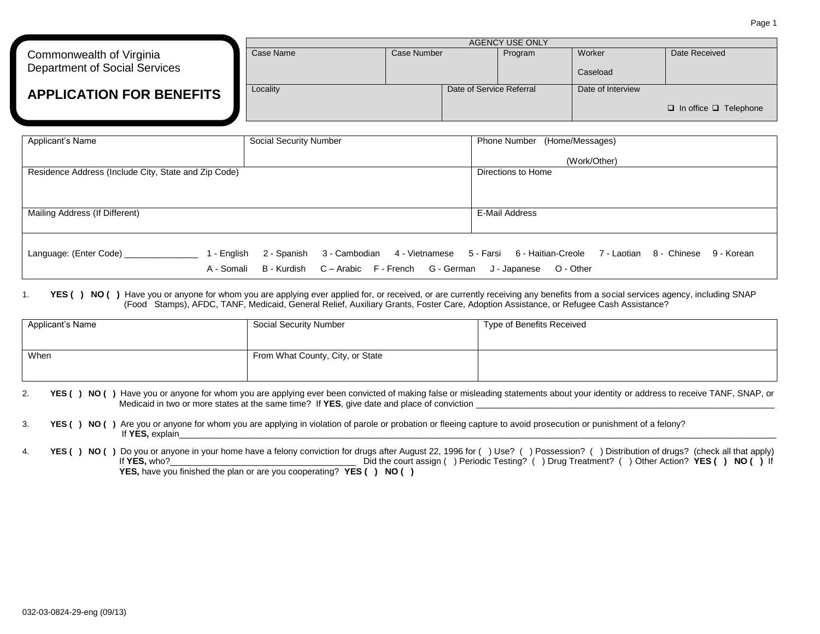|                                                                  |           | AGENCY USE ONLY |                          |         |                    |                                   |
|------------------------------------------------------------------|-----------|-----------------|--------------------------|---------|--------------------|-----------------------------------|
| Commonwealth of Virginia<br><b>Department of Social Services</b> | Case Name | Case Number     |                          | Program | Worker<br>Caseload | Date Received                     |
| <b>APPLICATION FOR BENEFITS</b>                                  | Locality  |                 | Date of Service Referral |         | Date of Interview  | $\Box$ In office $\Box$ Telephone |

| Applicant's Name                                     | Social Security Number                                              | Phone Number (Home/Messages)                                                                             |
|------------------------------------------------------|---------------------------------------------------------------------|----------------------------------------------------------------------------------------------------------|
|                                                      |                                                                     | (Work/Other)                                                                                             |
| Residence Address (Include City, State and Zip Code) |                                                                     | Directions to Home                                                                                       |
|                                                      |                                                                     |                                                                                                          |
|                                                      |                                                                     |                                                                                                          |
| Mailing Address (If Different)                       |                                                                     | E-Mail Address                                                                                           |
|                                                      |                                                                     |                                                                                                          |
| Language: (Enter Code) ___________<br>1 - English    |                                                                     | 2 - Spanish 3 - Cambodian 4 - Vietnamese 5 - Farsi 6 - Haitian-Creole 7 - Laotian 8 - Chinese 9 - Korean |
| A - Somali                                           | B - Kurdish C - Arabic F - French G - German J - Japanese O - Other |                                                                                                          |

#### 1. **YES ( ) NO ( )** Have you or anyone for whom you are applying ever applied for, or received, or are currently receiving any benefits from a social services agency, including SNAP (Food Stamps), AFDC, TANF, Medicaid, General Relief, Auxiliary Grants, Foster Care, Adoption Assistance, or Refugee Cash Assistance?

| Applicant's Name | <b>Social Security Number</b>    | Type of Benefits Received |
|------------------|----------------------------------|---------------------------|
| When             | From What County, City, or State |                           |

- 2. **YES () NO ()** Have you or anyone for whom you are applying ever been convicted of making false or misleading statements about your identity or address to receive TANF, SNAP, or Medicaid in two or more states at the same time? If YES, give date and place of conviction \_
- 3. **YES ( ) NO ( )** Are you or anyone for whom you are applying in violation of parole or probation or fleeing capture to avoid prosecution or punishment of a felony? If **YES,** explain\_\_\_\_\_\_\_\_\_\_\_\_\_\_\_\_\_\_\_\_\_\_\_\_\_\_\_\_\_\_\_\_\_\_\_\_\_\_\_\_\_\_\_\_\_\_\_\_\_\_\_\_\_\_\_\_\_\_\_\_\_\_\_\_\_\_\_\_\_\_\_\_\_\_\_\_\_\_\_\_\_\_\_\_\_\_\_\_\_\_\_\_\_\_\_\_\_\_\_\_\_\_\_\_\_\_\_\_\_\_\_\_\_\_\_\_\_\_\_\_\_\_
- YES ( ) NO ( ) Do you or anyone in your home have a felony conviction for drugs after August 22, 1996 for ( ) Use? ( ) Possession? ( ) Distribution of drugs? (check all that apply)<br>If YES, who? If the court assign ( ) Peri Did the court assign ( ) Periodic Testing? ( ) Drug Treatment? ( ) Other Action? **YES ( ) NO ( )** If **YES,** have you finished the plan or are you cooperating? **YES ( ) NO ( )**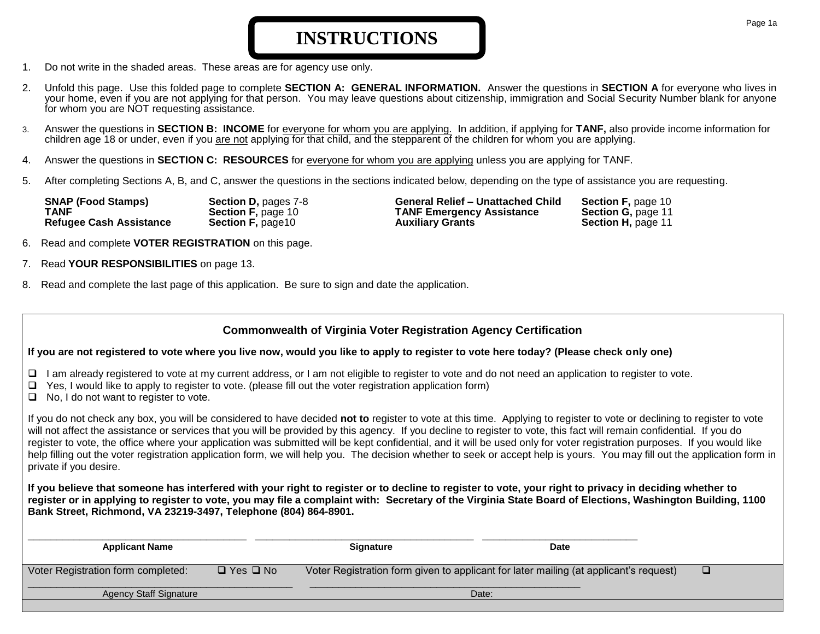# **INSTRUCTIONS**

- 1. Do not write in the shaded areas. These areas are for agency use only.
- 2. Unfold this page. Use this folded page to complete **SECTION A: GENERAL INFORMATION.** Answer the questions in **SECTION A** for everyone who lives in your home, even if you are not applying for that person. You may leave questions about citizenship, immigration and Social Security Number blank for anyone for whom you are NOT requesting assistance.
- 3. Answer the questions in **SECTION B: INCOME** for everyone for whom you are applying. In addition, if applying for **TANF,** also provide income information for children age 18 or under, even if you are not applying for that child, and the stepparent of the children for whom you are applying.
- 4. Answer the questions in **SECTION C: RESOURCES** for everyone for whom you are applying unless you are applying for TANF.
- 5. After completing Sections A, B, and C, answer the questions in the sections indicated below, depending on the type of assistance you are requesting.

| <b>SNAP (Food Stamps)</b>      | Section D, pages 7-8      |
|--------------------------------|---------------------------|
| TANF                           | <b>Section F, page 10</b> |
| <b>Refugee Cash Assistance</b> | <b>Section F, page10</b>  |

**Section F, page 10**<br> **TANF Emergency Assistance Section G, page 11 TANF Emergency Assistance Auxiliary Grants Section H, page 11** 

- 6. Read and complete **VOTER REGISTRATION** on this page.
- 7. Read **YOUR RESPONSIBILITIES** on page 13.
- 8. Read and complete the last page of this application. Be sure to sign and date the application.

# **Commonwealth of Virginia Voter Registration Agency Certification**

# **If you are not registered to vote where you live now, would you like to apply to register to vote here today? (Please check only one)**

- $\Box$  I am already registered to vote at my current address, or I am not eligible to register to vote and do not need an application to register to vote.
- $\Box$  Yes, I would like to apply to register to vote. (please fill out the voter registration application form)
- $\Box$  No, I do not want to register to vote.

If you do not check any box, you will be considered to have decided **not to** register to vote at this time. Applying to register to vote or declining to register to vote will not affect the assistance or services that you will be provided by this agency. If you decline to register to vote, this fact will remain confidential. If you do register to vote, the office where your application was submitted will be kept confidential, and it will be used only for voter registration purposes. If you would like help filling out the voter registration application form, we will help you. The decision whether to seek or accept help is yours. You may fill out the application form in private if you desire.

**If you believe that someone has interfered with your right to register or to decline to register to vote, your right to privacy in deciding whether to register or in applying to register to vote, you may file a complaint with: Secretary of the Virginia State Board of Elections, Washington Building, 1100 Bank Street, Richmond, VA 23219-3497, Telephone (804) 864-8901.**

| <b>Applicant Name</b>              |                      | <b>Signature</b> | Date                                                                                  |  |
|------------------------------------|----------------------|------------------|---------------------------------------------------------------------------------------|--|
| Voter Registration form completed: | $\Box$ Yes $\Box$ No |                  | Voter Registration form given to applicant for later mailing (at applicant's request) |  |
| <b>Agency Staff Signature</b>      |                      |                  | Date:                                                                                 |  |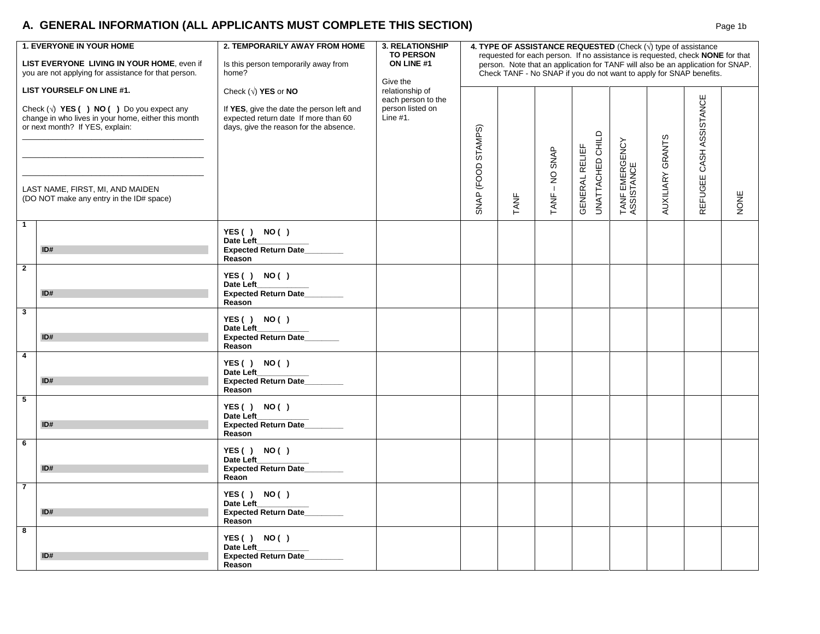# **A. GENERAL INFORMATION (ALL APPLICANTS MUST COMPLETE THIS SECTION)** Page 1b Page 1b

|                | <b>1. EVERYONE IN YOUR HOME</b><br>LIST EVERYONE LIVING IN YOUR HOME, even if<br>you are not applying for assistance for that person.                                                                                                                     | 2. TEMPORARILY AWAY FROM HOME<br>Is this person temporarily away from<br>home?                                                                       | <b>3. RELATIONSHIP</b><br>4. TYPE OF ASSISTANCE REQUESTED (Check $(\sqrt{ } )$ type of assistance<br><b>TO PERSON</b><br>requested for each person. If no assistance is requested, check NONE for that<br>ON LINE #1<br>person. Note that an application for TANF will also be an application for SNAP.<br>Check TANF - No SNAP if you do not want to apply for SNAP benefits.<br>Give the |                    |      |                   |                                           |                              |                  |                            |      |
|----------------|-----------------------------------------------------------------------------------------------------------------------------------------------------------------------------------------------------------------------------------------------------------|------------------------------------------------------------------------------------------------------------------------------------------------------|--------------------------------------------------------------------------------------------------------------------------------------------------------------------------------------------------------------------------------------------------------------------------------------------------------------------------------------------------------------------------------------------|--------------------|------|-------------------|-------------------------------------------|------------------------------|------------------|----------------------------|------|
|                | LIST YOURSELF ON LINE #1.<br>Check $(\sqrt{)}$ YES ( ) NO ( ) Do you expect any<br>change in who lives in your home, either this month<br>or next month? If YES, explain:<br>LAST NAME, FIRST, MI, AND MAIDEN<br>(DO NOT make any entry in the ID# space) | Check $(v)$ YES or NO<br>If YES, give the date the person left and<br>expected return date If more than 60<br>days, give the reason for the absence. | relationship of<br>each person to the<br>person listed on<br>Line $#1$ .                                                                                                                                                                                                                                                                                                                   | SNAP (FOOD STAMPS) | TANF | -NO SNAP<br>TANF- | UNATTACHED CHILD<br><b>GENERAL RELIEF</b> | TANF EMERGENCY<br>ASSISTANCE | AUXILIARY GRANTS | ASSISTANCE<br>REFUGEE CASH | NONE |
| $\mathbf{1}$   | ID#                                                                                                                                                                                                                                                       | YES() NO()<br>Date Left<br>Expected Return Date____<br>Reason                                                                                        |                                                                                                                                                                                                                                                                                                                                                                                            |                    |      |                   |                                           |                              |                  |                            |      |
| $\overline{2}$ | ID#                                                                                                                                                                                                                                                       | YES() NO()<br>Date Left<br><b>Expected Return Date</b><br>Reason                                                                                     |                                                                                                                                                                                                                                                                                                                                                                                            |                    |      |                   |                                           |                              |                  |                            |      |
| $\mathbf{3}$   | ID#                                                                                                                                                                                                                                                       | YES() NO()<br>Date Left<br>Expected Return Date___<br>Reason                                                                                         |                                                                                                                                                                                                                                                                                                                                                                                            |                    |      |                   |                                           |                              |                  |                            |      |
| $\overline{4}$ | ID#                                                                                                                                                                                                                                                       | YES() NO()<br>Date Left<br>Expected Return Date_______<br>Reason                                                                                     |                                                                                                                                                                                                                                                                                                                                                                                            |                    |      |                   |                                           |                              |                  |                            |      |
| $\sqrt{5}$     | ID#                                                                                                                                                                                                                                                       | YES() NO()<br>Date Left_<br>Expected Return Date<br>Reason                                                                                           |                                                                                                                                                                                                                                                                                                                                                                                            |                    |      |                   |                                           |                              |                  |                            |      |
| $\overline{6}$ | ID#                                                                                                                                                                                                                                                       | YES() NO()<br>Date Left_<br><b>Expected Return Date</b><br>Reaon                                                                                     |                                                                                                                                                                                                                                                                                                                                                                                            |                    |      |                   |                                           |                              |                  |                            |      |
| $\overline{7}$ | ID#                                                                                                                                                                                                                                                       | YES() NO()<br>Date Left<br>Expected Return Date<br>Reason                                                                                            |                                                                                                                                                                                                                                                                                                                                                                                            |                    |      |                   |                                           |                              |                  |                            |      |
| 8              | ID#                                                                                                                                                                                                                                                       | YES() NO()<br>Date Left<br><b>Expected Return Date</b><br>Reason                                                                                     |                                                                                                                                                                                                                                                                                                                                                                                            |                    |      |                   |                                           |                              |                  |                            |      |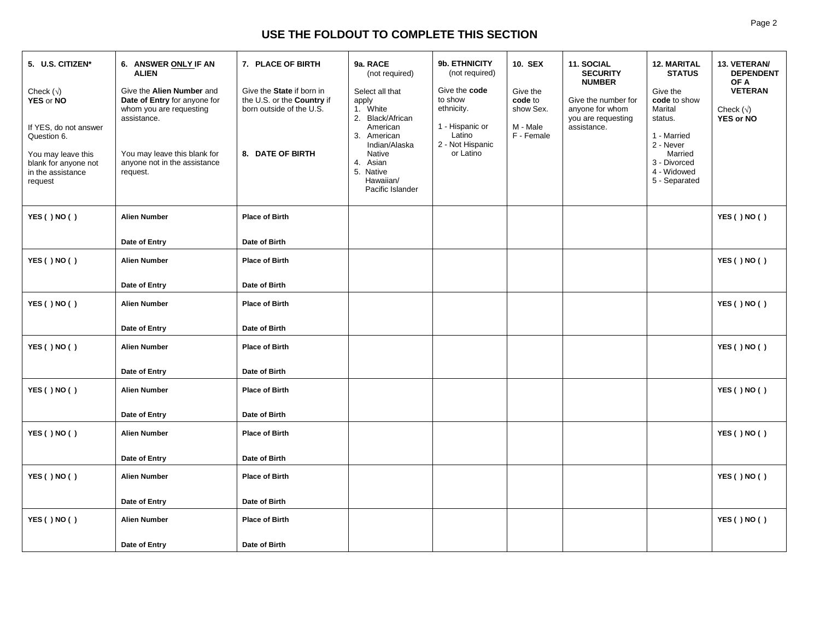# **USE THE FOLDOUT TO COMPLETE THIS SECTION**

| 5. U.S. CITIZEN*<br>Check $(\sqrt{)}$<br>YES or NO<br>If YES, do not answer<br>Question 6.<br>You may leave this<br>blank for anyone not<br>in the assistance<br>request | 6. ANSWER ONLY IF AN<br><b>ALIEN</b><br>Give the Alien Number and<br>Date of Entry for anyone for<br>whom you are requesting<br>assistance.<br>You may leave this blank for<br>anyone not in the assistance<br>request. | 7. PLACE OF BIRTH<br>Give the State if born in<br>the U.S. or the Country if<br>born outside of the U.S.<br>8. DATE OF BIRTH | 9a. RACE<br>(not required)<br>Select all that<br>apply<br>1. White<br>2. Black/African<br>American<br>3. American<br>Indian/Alaska<br><b>Native</b><br>4. Asian<br>5. Native<br>Hawaiian/<br>Pacific Islander | 9b. ETHNICITY<br>(not required)<br>Give the code<br>to show<br>ethnicity.<br>1 - Hispanic or<br>Latino<br>2 - Not Hispanic<br>or Latino | <b>10. SEX</b><br>Give the<br>code to<br>show Sex.<br>M - Male<br>F - Female | 11. SOCIAL<br><b>SECURITY</b><br><b>NUMBER</b><br>Give the number for<br>anyone for whom<br>you are requesting<br>assistance. | <b>12. MARITAL</b><br><b>STATUS</b><br>Give the<br>code to show<br>Marital<br>status.<br>1 - Married<br>2 - Never<br>Married<br>3 - Divorced<br>4 - Widowed<br>5 - Separated | 13. VETERAN/<br><b>DEPENDENT</b><br>OF A<br><b>VETERAN</b><br>Check $(\sqrt{)}$<br><b>YES or NO</b> |
|--------------------------------------------------------------------------------------------------------------------------------------------------------------------------|-------------------------------------------------------------------------------------------------------------------------------------------------------------------------------------------------------------------------|------------------------------------------------------------------------------------------------------------------------------|---------------------------------------------------------------------------------------------------------------------------------------------------------------------------------------------------------------|-----------------------------------------------------------------------------------------------------------------------------------------|------------------------------------------------------------------------------|-------------------------------------------------------------------------------------------------------------------------------|------------------------------------------------------------------------------------------------------------------------------------------------------------------------------|-----------------------------------------------------------------------------------------------------|
| YES () NO ()                                                                                                                                                             | <b>Alien Number</b>                                                                                                                                                                                                     | <b>Place of Birth</b>                                                                                                        |                                                                                                                                                                                                               |                                                                                                                                         |                                                                              |                                                                                                                               |                                                                                                                                                                              | YES () NO ()                                                                                        |
|                                                                                                                                                                          | Date of Entry                                                                                                                                                                                                           | Date of Birth                                                                                                                |                                                                                                                                                                                                               |                                                                                                                                         |                                                                              |                                                                                                                               |                                                                                                                                                                              |                                                                                                     |
| YES () NO ()                                                                                                                                                             | <b>Alien Number</b>                                                                                                                                                                                                     | <b>Place of Birth</b>                                                                                                        |                                                                                                                                                                                                               |                                                                                                                                         |                                                                              |                                                                                                                               |                                                                                                                                                                              | YES () NO ()                                                                                        |
|                                                                                                                                                                          | Date of Entry                                                                                                                                                                                                           | Date of Birth                                                                                                                |                                                                                                                                                                                                               |                                                                                                                                         |                                                                              |                                                                                                                               |                                                                                                                                                                              |                                                                                                     |
| YES () NO ()                                                                                                                                                             | <b>Alien Number</b>                                                                                                                                                                                                     | <b>Place of Birth</b>                                                                                                        |                                                                                                                                                                                                               |                                                                                                                                         |                                                                              |                                                                                                                               |                                                                                                                                                                              | YES()NO()                                                                                           |
|                                                                                                                                                                          | Date of Entry                                                                                                                                                                                                           | Date of Birth                                                                                                                |                                                                                                                                                                                                               |                                                                                                                                         |                                                                              |                                                                                                                               |                                                                                                                                                                              |                                                                                                     |
| YES () NO ()                                                                                                                                                             | <b>Alien Number</b>                                                                                                                                                                                                     | <b>Place of Birth</b>                                                                                                        |                                                                                                                                                                                                               |                                                                                                                                         |                                                                              |                                                                                                                               |                                                                                                                                                                              | YES () NO ()                                                                                        |
|                                                                                                                                                                          | Date of Entry                                                                                                                                                                                                           | Date of Birth                                                                                                                |                                                                                                                                                                                                               |                                                                                                                                         |                                                                              |                                                                                                                               |                                                                                                                                                                              |                                                                                                     |
| YES () NO ()                                                                                                                                                             | <b>Alien Number</b>                                                                                                                                                                                                     | <b>Place of Birth</b>                                                                                                        |                                                                                                                                                                                                               |                                                                                                                                         |                                                                              |                                                                                                                               |                                                                                                                                                                              | YES () NO ()                                                                                        |
|                                                                                                                                                                          | Date of Entry                                                                                                                                                                                                           | Date of Birth                                                                                                                |                                                                                                                                                                                                               |                                                                                                                                         |                                                                              |                                                                                                                               |                                                                                                                                                                              |                                                                                                     |
| YES () NO ()                                                                                                                                                             | <b>Alien Number</b>                                                                                                                                                                                                     | <b>Place of Birth</b>                                                                                                        |                                                                                                                                                                                                               |                                                                                                                                         |                                                                              |                                                                                                                               |                                                                                                                                                                              | YES () NO ()                                                                                        |
|                                                                                                                                                                          | Date of Entry                                                                                                                                                                                                           | Date of Birth                                                                                                                |                                                                                                                                                                                                               |                                                                                                                                         |                                                                              |                                                                                                                               |                                                                                                                                                                              |                                                                                                     |
| YES () NO ()                                                                                                                                                             | <b>Alien Number</b>                                                                                                                                                                                                     | <b>Place of Birth</b>                                                                                                        |                                                                                                                                                                                                               |                                                                                                                                         |                                                                              |                                                                                                                               |                                                                                                                                                                              | YES () NO ()                                                                                        |
|                                                                                                                                                                          | Date of Entry                                                                                                                                                                                                           | Date of Birth                                                                                                                |                                                                                                                                                                                                               |                                                                                                                                         |                                                                              |                                                                                                                               |                                                                                                                                                                              |                                                                                                     |
| YES () NO ()                                                                                                                                                             | <b>Alien Number</b>                                                                                                                                                                                                     | <b>Place of Birth</b>                                                                                                        |                                                                                                                                                                                                               |                                                                                                                                         |                                                                              |                                                                                                                               |                                                                                                                                                                              | YES () NO ()                                                                                        |
|                                                                                                                                                                          | Date of Entry                                                                                                                                                                                                           | Date of Birth                                                                                                                |                                                                                                                                                                                                               |                                                                                                                                         |                                                                              |                                                                                                                               |                                                                                                                                                                              |                                                                                                     |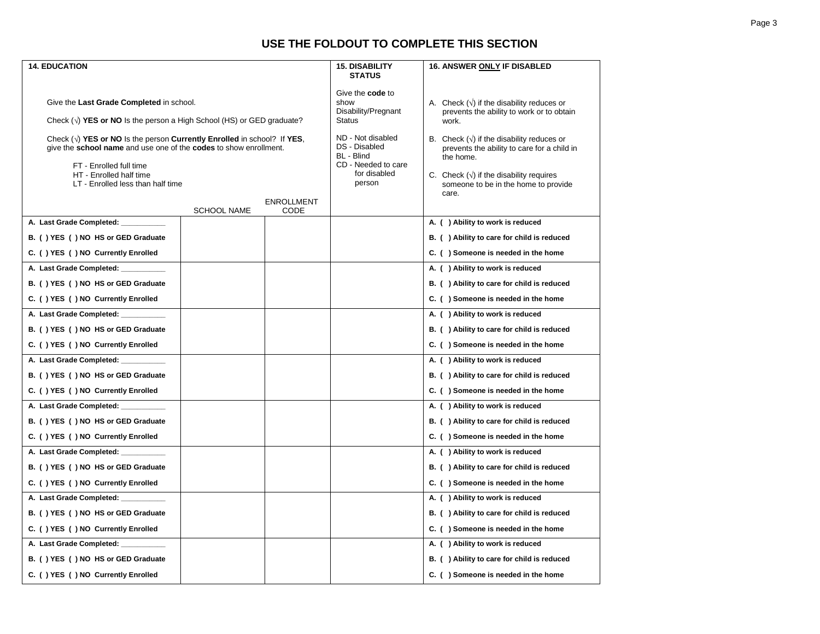# **USE THE FOLDOUT TO COMPLETE THIS SECTION**

| <b>14. EDUCATION</b>                                                                                                                                                                                                                      |                    |                                                                                                   | <b>15. DISABILITY</b><br><b>STATUS</b>                                                                                                                                                                         | 16. ANSWER ONLY IF DISABLED                |
|-------------------------------------------------------------------------------------------------------------------------------------------------------------------------------------------------------------------------------------------|--------------------|---------------------------------------------------------------------------------------------------|----------------------------------------------------------------------------------------------------------------------------------------------------------------------------------------------------------------|--------------------------------------------|
| Give the Last Grade Completed in school.<br>Check $(v)$ YES or NO Is the person a High School (HS) or GED graduate?                                                                                                                       |                    | Give the <b>code</b> to<br>show<br>Disability/Pregnant<br>Status                                  | A. Check $(\sqrt{})$ if the disability reduces or<br>prevents the ability to work or to obtain<br>work.                                                                                                        |                                            |
| Check $(v)$ YES or NO is the person Currently Enrolled in school? If YES,<br>give the school name and use one of the codes to show enrollment.<br>FT - Enrolled full time<br>HT - Enrolled half time<br>LT - Enrolled less than half time | <b>ENROLLMENT</b>  | ND - Not disabled<br>DS - Disabled<br>BL - Blind<br>CD - Needed to care<br>for disabled<br>person | B. Check $(\vee)$ if the disability reduces or<br>prevents the ability to care for a child in<br>the home.<br>C. Check $(\sqrt{})$ if the disability requires<br>someone to be in the home to provide<br>care. |                                            |
| A. Last Grade Completed: _______                                                                                                                                                                                                          | <b>SCHOOL NAME</b> | CODE                                                                                              |                                                                                                                                                                                                                | A. () Ability to work is reduced           |
|                                                                                                                                                                                                                                           |                    |                                                                                                   |                                                                                                                                                                                                                |                                            |
| B. () YES () NO HS or GED Graduate                                                                                                                                                                                                        |                    |                                                                                                   |                                                                                                                                                                                                                | B. () Ability to care for child is reduced |
| C. () YES () NO Currently Enrolled                                                                                                                                                                                                        |                    |                                                                                                   |                                                                                                                                                                                                                | C. () Someone is needed in the home        |
| A. Last Grade Completed: _______                                                                                                                                                                                                          |                    |                                                                                                   |                                                                                                                                                                                                                | A. () Ability to work is reduced           |
| B. () YES () NO HS or GED Graduate                                                                                                                                                                                                        |                    |                                                                                                   |                                                                                                                                                                                                                | B. () Ability to care for child is reduced |
| C. () YES () NO Currently Enrolled                                                                                                                                                                                                        |                    |                                                                                                   |                                                                                                                                                                                                                | C. () Someone is needed in the home        |
| A. Last Grade Completed: _____                                                                                                                                                                                                            |                    |                                                                                                   |                                                                                                                                                                                                                | A. () Ability to work is reduced           |
| B. () YES () NO HS or GED Graduate                                                                                                                                                                                                        |                    |                                                                                                   |                                                                                                                                                                                                                | B. () Ability to care for child is reduced |
| C. () YES () NO Currently Enrolled                                                                                                                                                                                                        |                    |                                                                                                   |                                                                                                                                                                                                                | C. () Someone is needed in the home        |
| A. Last Grade Completed: ______                                                                                                                                                                                                           |                    |                                                                                                   |                                                                                                                                                                                                                | A. () Ability to work is reduced           |
| B. () YES () NO HS or GED Graduate                                                                                                                                                                                                        |                    |                                                                                                   |                                                                                                                                                                                                                | B. () Ability to care for child is reduced |
| C. () YES () NO Currently Enrolled                                                                                                                                                                                                        |                    |                                                                                                   |                                                                                                                                                                                                                | C. () Someone is needed in the home        |
| A. Last Grade Completed: _________                                                                                                                                                                                                        |                    |                                                                                                   |                                                                                                                                                                                                                | A. () Ability to work is reduced           |
| B. () YES () NO HS or GED Graduate                                                                                                                                                                                                        |                    |                                                                                                   |                                                                                                                                                                                                                | B. () Ability to care for child is reduced |
| C. () YES () NO Currently Enrolled                                                                                                                                                                                                        |                    |                                                                                                   |                                                                                                                                                                                                                | C. () Someone is needed in the home        |
| A. Last Grade Completed: __                                                                                                                                                                                                               |                    |                                                                                                   |                                                                                                                                                                                                                | A. () Ability to work is reduced           |
| B. () YES () NO HS or GED Graduate                                                                                                                                                                                                        |                    |                                                                                                   |                                                                                                                                                                                                                | B. () Ability to care for child is reduced |
| C. () YES () NO Currently Enrolled                                                                                                                                                                                                        |                    |                                                                                                   |                                                                                                                                                                                                                | C. () Someone is needed in the home        |
| A. Last Grade Completed: _____                                                                                                                                                                                                            |                    |                                                                                                   |                                                                                                                                                                                                                | A. () Ability to work is reduced           |
| B. () YES () NO HS or GED Graduate                                                                                                                                                                                                        |                    |                                                                                                   |                                                                                                                                                                                                                | B. () Ability to care for child is reduced |
| C. () YES () NO Currently Enrolled                                                                                                                                                                                                        |                    |                                                                                                   |                                                                                                                                                                                                                | C. () Someone is needed in the home        |
| A. Last Grade Completed: __________                                                                                                                                                                                                       |                    |                                                                                                   |                                                                                                                                                                                                                | A. () Ability to work is reduced           |
| B. () YES () NO HS or GED Graduate                                                                                                                                                                                                        |                    |                                                                                                   |                                                                                                                                                                                                                | B. () Ability to care for child is reduced |
| C. () YES () NO Currently Enrolled                                                                                                                                                                                                        |                    |                                                                                                   |                                                                                                                                                                                                                | C. () Someone is needed in the home        |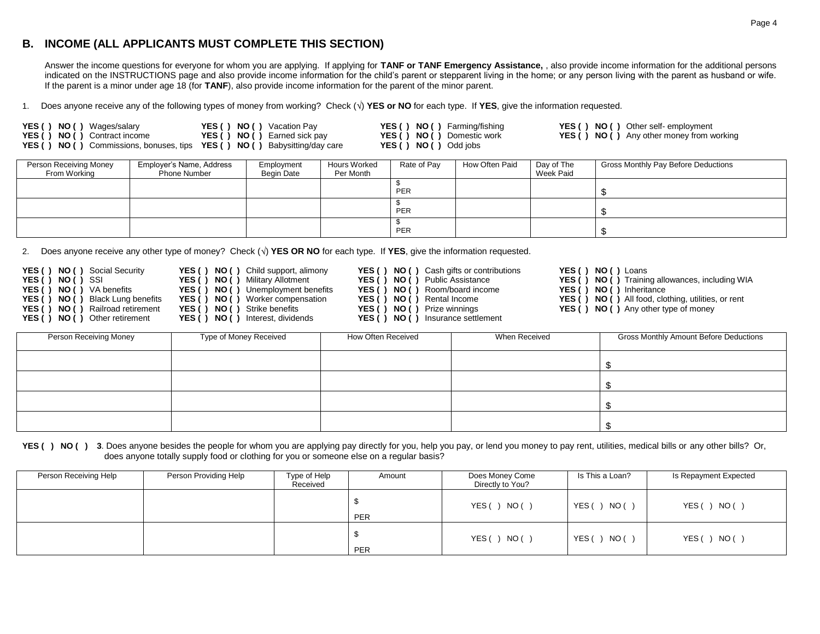# **B. INCOME (ALL APPLICANTS MUST COMPLETE THIS SECTION)**

Answer the income questions for everyone for whom you are applying. If applying for **TANF or TANF Emergency Assistance,** , also provide income information for the additional persons indicated on the INSTRUCTIONS page and also provide income information for the child's parent or stepparent living in the home; or any person living with the parent as husband or wife. If the parent is a minor under age 18 (for **TANF**), also provide income information for the parent of the minor parent.

1. Does anyone receive any of the following types of money from working? Check ( $\sqrt{ }$ ) YES or NO for each type. If YES, give the information requested.

| <b>YES () NO ()</b> Wages/salary                                                        | <b>YES () NO ()</b> Vacation Pay    | YES () NO () Farming/ |
|-----------------------------------------------------------------------------------------|-------------------------------------|-----------------------|
| <b>YES () NO ()</b> Contract income                                                     | <b>YES () NO ()</b> Earned sick pay | YES () NO () Domestic |
| <b>YES () NO ()</b> Commissions, bonuses, tips <b>YES () NO ()</b> Babysitting/day care |                                     | YES () NO () Odd jobs |

|  | <b>S () NO ()</b> Farming/fishing |
|--|-----------------------------------|
|  | <b>S () NO ()</b> Domestic work   |
|  |                                   |

**YES ( ) NO ( )** Wages/salary **YES ( ) NO ( )** Vacation Pay **YES ( ) NO ( )** Farming/fishing **YES ( ) NO ( )** Other self- employment

**YES ( ) NO ( )** Contract income **YES ( ) NO ( )** Earned sick pay **YES ( ) NO ( )** Domestic work **YES ( ) NO ( )** Any other money from working

| Person Receiving Money<br>From Working | Employer's Name, Address<br><b>Phone Number</b> | Employment<br>Begin Date | <b>Hours Worked</b><br>Per Month | Rate of Pay | How Often Paid | Day of The<br>Week Paid | Gross Monthly Pay Before Deductions |
|----------------------------------------|-------------------------------------------------|--------------------------|----------------------------------|-------------|----------------|-------------------------|-------------------------------------|
|                                        |                                                 |                          |                                  | PER         |                |                         |                                     |
|                                        |                                                 |                          |                                  | PER         |                |                         |                                     |
|                                        |                                                 |                          |                                  | PER         |                |                         |                                     |

2. Does anyone receive any other type of money? Check  $(\sqrt{)$  YES OR NO for each type. If YES, give the information requested.

| Social Security<br>YES() NO()<br>YES () NO () SSI<br><b>YES () NO ()</b> VA benefits<br>Black Lung benefits<br>YES () NO ()<br>Railroad retirement<br>YES () NO (<br>YES() NO()<br>Other retirement | Child support, alimony<br>YES () NO ()<br>Military Allotment<br>YES() NO()<br><b>YES () NO ()</b> Unemployment benefits<br><b>YES () NO ()</b> Worker compensation<br><b>YES () NO ()</b> Strike benefits<br>YES() NO()<br>Interest, dividends | <b>YES () NO ()</b> Cash gifts or contributions<br><b>YES () NO ()</b> Public Assistance<br><b>YES () NO ()</b> Room/board income<br>YES () NO () Rental Income<br>YES () NO () Prize winnings<br>YES () NO () | YES (<br>YES()<br>YES()<br>YES ()<br>) Insurance settlement | NO () Loans<br><b>NO ()</b> Training allowances, including WIA<br>NO () Inheritance<br><b>NO ()</b> All food, clothing, utilities, or rent<br><b>YES () NO ()</b> Any other type of money |
|-----------------------------------------------------------------------------------------------------------------------------------------------------------------------------------------------------|------------------------------------------------------------------------------------------------------------------------------------------------------------------------------------------------------------------------------------------------|----------------------------------------------------------------------------------------------------------------------------------------------------------------------------------------------------------------|-------------------------------------------------------------|-------------------------------------------------------------------------------------------------------------------------------------------------------------------------------------------|
| Person Receiving Money                                                                                                                                                                              | Type of Money Received                                                                                                                                                                                                                         | How Often Received                                                                                                                                                                                             | When Received                                               | Gross Monthly Amount Before Deductions                                                                                                                                                    |
|                                                                                                                                                                                                     |                                                                                                                                                                                                                                                |                                                                                                                                                                                                                |                                                             |                                                                                                                                                                                           |

YES () NO () 3. Does anyone besides the people for whom you are applying pay directly for you, help you pay, or lend you money to pay rent, utilities, medical bills or any other bills? Or, does anyone totally supply food or clothing for you or someone else on a regular basis?

| Person Receiving Help | Person Providing Help | Type of Help<br>Received | Amount | Does Money Come<br>Directly to You? | Is This a Loan? | Is Repayment Expected |
|-----------------------|-----------------------|--------------------------|--------|-------------------------------------|-----------------|-----------------------|
|                       |                       |                          | PER    | ) NO()<br>YES (                     | ) NO (<br>YES ( | NO()<br>YES ()        |
|                       |                       |                          | PER    | YES (<br>) NO()                     | ) NO (<br>YES() | NO()<br>YES (         |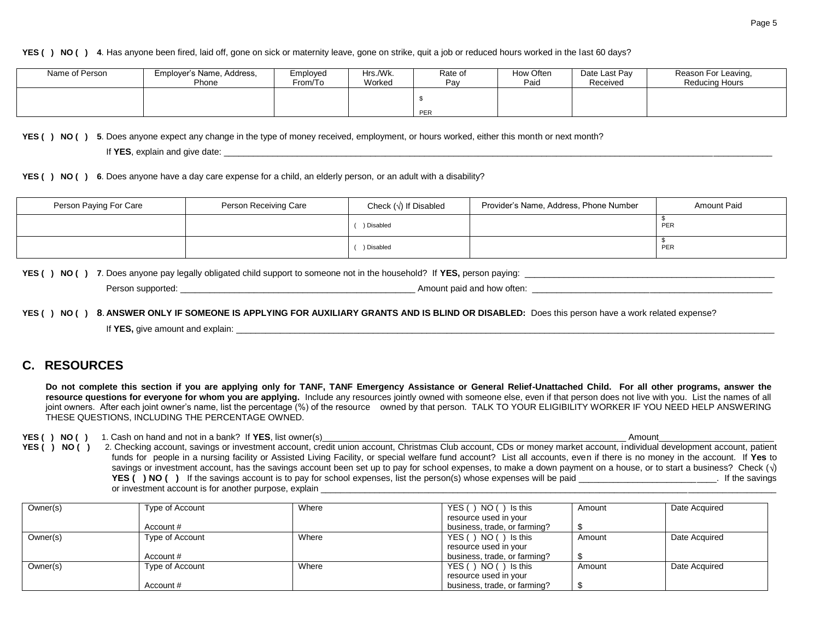#### **YES ( ) NO ( ) 4**. Has anyone been fired, laid off, gone on sick or maternity leave, gone on strike, quit a job or reduced hours worked in the last 60 days?

| Name of Person | Employer's Name, Address,<br>Phone | Employed<br>From/To | Hrs./Wk.<br>Worked | Rate of<br>Pay | How Often<br>Paio | Date Last Pav<br>Received | Reason For Leaving,<br>Reducing Hours |
|----------------|------------------------------------|---------------------|--------------------|----------------|-------------------|---------------------------|---------------------------------------|
|                |                                    |                     |                    |                |                   |                           |                                       |
|                |                                    |                     |                    | <b>PER</b>     |                   |                           |                                       |

**YES ( ) NO ( ) 5**. Does anyone expect any change in the type of money received, employment, or hours worked, either this month or next month?

If YES, explain and give date: **Letter** and  $\frac{1}{2}$  and  $\frac{1}{2}$  and  $\frac{1}{2}$  and  $\frac{1}{2}$  and  $\frac{1}{2}$  and  $\frac{1}{2}$  and  $\frac{1}{2}$  and  $\frac{1}{2}$  and  $\frac{1}{2}$  and  $\frac{1}{2}$  and  $\frac{1}{2}$  and  $\frac{1}{2}$  and  $\frac{1}{2}$ 

**YES ( ) NO ( ) 6**. Does anyone have a day care expense for a child, an elderly person, or an adult with a disability?

| Person Paying For Care | Person Receiving Care | Check $(\sqrt{})$ If Disabled | Provider's Name, Address, Phone Number | <b>Amount Paid</b> |
|------------------------|-----------------------|-------------------------------|----------------------------------------|--------------------|
|                        |                       | ) Disabled                    |                                        | PER                |
|                        |                       | ) Disabled                    |                                        | PER                |

**YES ( ) NO ( ) 7**. Does anyone pay legally obligated child support to someone not in the household? If **YES,** person paying: \_\_\_\_\_\_\_\_\_\_\_\_\_\_\_\_\_\_\_\_\_\_\_\_\_\_\_\_\_\_\_\_\_\_\_\_\_\_\_\_\_\_\_\_\_\_\_\_\_\_\_

Person supported: example of the state of the state of the state of the state of the state of the state of the state of the state of the state of the state of the state of the state of the state of the state of the state o

**YES ( ) NO ( ) 8**. **ANSWER ONLY IF SOMEONE IS APPLYING FOR AUXILIARY GRANTS AND IS BLIND OR DISABLED:** Does this person have a work related expense?

If **YES,** give amount and explain: \_\_\_\_\_\_\_\_\_\_\_\_\_\_\_\_\_\_\_\_\_\_\_\_\_\_\_\_\_\_\_\_\_\_\_\_\_\_\_\_\_\_\_\_\_\_\_\_\_\_\_\_\_\_\_\_\_\_\_\_\_\_\_\_\_\_\_\_\_\_\_\_\_\_\_\_\_\_\_\_\_\_\_\_\_\_\_\_\_\_\_\_\_\_\_\_\_\_\_\_\_\_\_\_\_\_\_\_\_\_

# **C. RESOURCES**

Do not complete this section if you are applying only for TANF, TANF Emergency Assistance or General Relief-Unattached Child. For all other programs, answer the **resource questions for everyone for whom you are applying.** Include any resources jointly owned with someone else, even if that person does not live with you. List the names of all joint owners. After each joint owner's name, list the percentage (%) of the resource owned by that person. TALK TO YOUR ELIGIBILITY WORKER IF YOU NEED HELP ANSWERING THESE QUESTIONS, INCLUDING THE PERCENTAGE OWNED.

**YES ( ) NO ( )** 1. Cash on hand and not in a bank? If **YES**, list owner(s) **All and Contact and Contact and Contact and Contact and Contact and Contact and Contact and Contact and Contact and Contact and Contact and Conta** 

YES ( ) NO ( ) 2. Checking account, savings or investment account, credit union account, Christmas Club account, CDs or money market account, individual development account, patient funds for people in a nursing facility or Assisted Living Facility, or special welfare fund account? List all accounts, even if there is no money in the account. If **Yes** to savings or investment account, has the savings account been set up to pay for school expenses, to make a down payment on a house, or to start a business? Check ( $\sqrt{ }$ ) **YES () NO ()** If the savings account is to pay for school expenses, list the person(s) whose expenses will be paid or investment account is for another purpose, explain \_\_\_\_\_\_\_\_\_\_\_\_\_\_\_\_\_\_\_\_\_\_\_\_\_\_\_\_\_\_\_\_\_\_\_\_\_\_\_\_\_\_\_\_\_\_\_\_\_\_\_\_\_\_\_\_\_\_\_\_\_\_\_\_\_\_\_\_\_\_\_\_\_\_\_\_\_\_\_\_\_\_\_\_\_\_\_\_\_\_\_\_\_

| Owner(s) | Type of Account | Where | YES () NO () Is this         | Amount | Date Acquired |
|----------|-----------------|-------|------------------------------|--------|---------------|
|          |                 |       | resource used in your        |        |               |
|          | Account #       |       | business, trade, or farming? |        |               |
| Owner(s) | Type of Account | Where | YES () NO () Is this         | Amount | Date Acquired |
|          |                 |       | resource used in your        |        |               |
|          | Account #       |       | business, trade, or farming? |        |               |
| Owner(s) | Type of Account | Where | YES () NO () Is this         | Amount | Date Acquired |
|          |                 |       | resource used in your        |        |               |
|          | Account #       |       | business, trade, or farming? |        |               |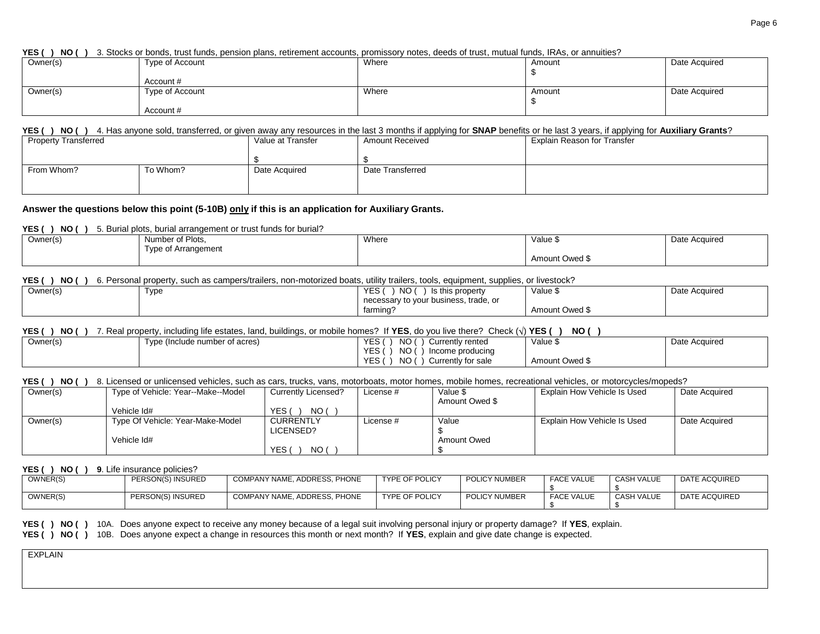**YES ( ) NO ( )** 3. Stocks or bonds, trust funds, pension plans, retirement accounts, promissory notes, deeds of trust, mutual funds, IRAs, or annuities?

| Owner(s) | Type of Account | Where | Amount | Date Acquired |
|----------|-----------------|-------|--------|---------------|
|          |                 |       |        |               |
|          | Account #       |       |        |               |
| Owner(s) | Type of Account | Where | Amount | Date Acquired |
|          |                 |       |        |               |
|          | Account #       |       |        |               |

#### **YES ( ) NO ( )** 4. Has anyone sold, transferred, or given away any resources in the last 3 months if applying for **SNAP** benefits or he last 3 years, if applying for **Auxiliary Grants**?

| <b>Property Transferred</b> |          | Value at Transfer | <b>Amount Received</b> | Explain Reason for Transfer |
|-----------------------------|----------|-------------------|------------------------|-----------------------------|
|                             |          |                   |                        |                             |
| From Whom?                  | To Whom? | Date Acquired     | Date Transferred       |                             |
|                             |          |                   |                        |                             |

#### **Answer the questions below this point (5-10B) only if this is an application for Auxiliary Grants.**

**YES ( ) NO ( )** 5. Burial plots, burial arrangement or trust funds for burial?

| Owner(s) | Number of Plots,    | Where | Value \$       | Date Acquired |
|----------|---------------------|-------|----------------|---------------|
|          | Type of Arrangement |       |                |               |
|          |                     |       | Amount Owed \$ |               |

#### **YES ( ) NO ( )** 6. Personal property, such as campers/trailers, non-motorized boats, utility trailers, tools, equipment, supplies, or livestock?

| Owner(s) | Type | NO.<br><b>YES</b><br>Is this property | Value <sub>v</sub> | Date Acquired |
|----------|------|---------------------------------------|--------------------|---------------|
|          |      | necessary to your business, trade, or |                    |               |
|          |      | farming?                              |                    |               |

#### **YES ( ) NO ( )** 7. Real property, including life estates, land, buildings, or mobile homes? If **YES**, do you live there? Check ( ) **YES ( ) NO ( )**

| ----<br>--- |                                    |                                         | ----<br>---    |               |
|-------------|------------------------------------|-----------------------------------------|----------------|---------------|
| Owner(s)    | ) (Include number of acres)<br>vpe | <b>YES</b><br>ΝO<br>Currently rented    | Value \$       | Date Acquired |
|             |                                    | NO<br>YES<br>Income producina           |                |               |
|             |                                    | <b>YES</b><br>NO.<br>Currently for sale | Amount Owed \$ |               |

#### **YES ( ) NO ( )** 8. Licensed or unlicensed vehicles, such as cars, trucks, vans, motorboats, motor homes, mobile homes, recreational vehicles, or motorcycles/mopeds?

| Owner(s) | Type of Vehicle: Year--Make--Model | <b>Currently Licensed?</b> | License # | Value \$       | Explain How Vehicle Is Used | Date Acquired |
|----------|------------------------------------|----------------------------|-----------|----------------|-----------------------------|---------------|
|          |                                    |                            |           | Amount Owed \$ |                             |               |
|          | Vehicle Id#                        | NO (<br>YES.               |           |                |                             |               |
| Owner(s) | Type Of Vehicle: Year-Make-Model   | <b>CURRENTLY</b>           | License # | Value          | Explain How Vehicle Is Used | Date Acquired |
|          |                                    | LICENSED?                  |           |                |                             |               |
|          | Vehicle Id#                        |                            |           | Amount Owed    |                             |               |
|          |                                    | NO (<br>YES.               |           |                |                             |               |

#### **YES ( ) NO ( ) 9**. Life insurance policies?

| OWNER(S) | PERSON(S) INSURED | COMPANY NAME, ADDRESS, PHONE | <b>TYPE OF POLICY</b> | POLICY NUMBER | <b>FACE VALUE</b> | CASH VALUE        | DATE ACQUIRED |
|----------|-------------------|------------------------------|-----------------------|---------------|-------------------|-------------------|---------------|
| OWNER(S) | PERSON(S) INSURED | COMPANY NAME, ADDRESS, PHONE | <b>TYPE OF POLICY</b> | POLICY NUMBER | <b>FACE VALUE</b> | <b>CASH VALUE</b> | DATE ACQUIRED |

**YES ( ) NO ( )** 10A. Does anyone expect to receive any money because of a legal suit involving personal injury or property damage? If **YES**, explain.

**YES ( ) NO ( )** 10B. Does anyone expect a change in resources this month or next month? If **YES**, explain and give date change is expected.

EXPLAIN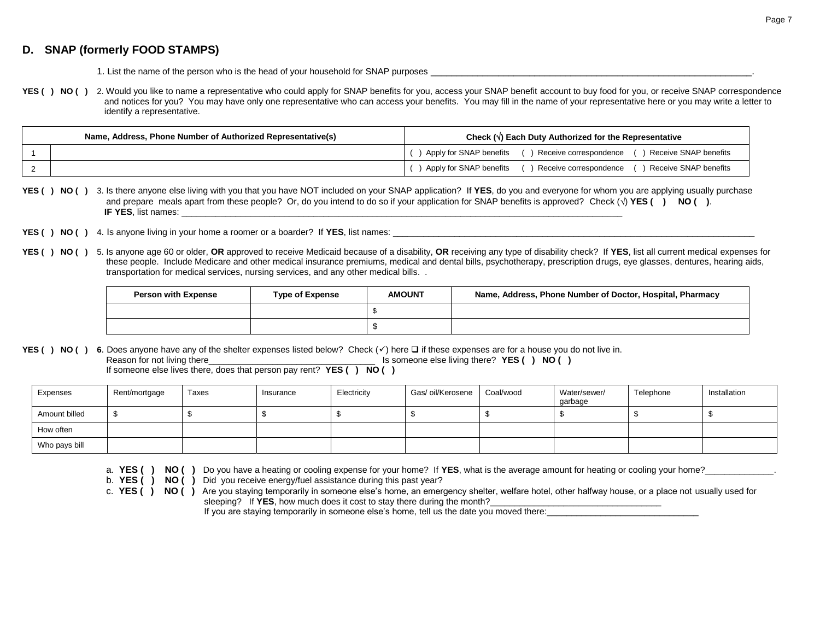# **D. SNAP (formerly FOOD STAMPS)**

Who pays bill

- 1. List the name of the person who is the head of your household for SNAP purposes
- YES () NO () 2. Would you like to name a representative who could apply for SNAP benefits for you, access your SNAP benefit account to buy food for you, or receive SNAP correspondence and notices for you? You may have only one representative who can access your benefits. You may fill in the name of your representative here or you may write a letter to identify a representative.

| Name, Address, Phone Number of Authorized Representative(s) | Check $(\vee)$ Each Duty Authorized for the Representative                        |
|-------------------------------------------------------------|-----------------------------------------------------------------------------------|
|                                                             | 1 Apply for SNAP benefits () Receive correspondence () Receive SNAP benefits      |
|                                                             | ) Apply for SNAP benefits () Receive correspondence (<br>() Receive SNAP benefits |

**YES ( ) NO ( )** 3. Is there anyone else living with you that you have NOT included on your SNAP application? If **YES**, do you and everyone for whom you are applying usually purchase and prepare meals apart from these people? Or, do you intend to do so if your application for SNAP benefits is approved? Check  $(\sqrt{})$  **YES ()** NO (). **IF YES**, list names:

- **YES () NO ()** 4. Is anyone living in your home a roomer or a boarder? If **YES**, list names:
- **YES ( ) NO ( )** 5. Is anyone age 60 or older, **OR** approved to receive Medicaid because of a disability, **OR** receiving any type of disability check? If **YES**, list all current medical expenses for these people. Include Medicare and other medical insurance premiums, medical and dental bills, psychotherapy, prescription drugs, eye glasses, dentures, hearing aids, transportation for medical services, nursing services, and any other medical bills. .

| <b>Person with Expense</b><br><b>Type of Expense</b> |  | <b>AMOUNT</b> | Name, Address, Phone Number of Doctor, Hospital, Pharmacy |
|------------------------------------------------------|--|---------------|-----------------------------------------------------------|
|                                                      |  |               |                                                           |
|                                                      |  |               |                                                           |

**YES () NO ()** 6. Does anyone have any of the shelter expenses listed below? Check  $(\checkmark)$  here  $\Box$  if these expenses are for a house you do not live in.

|               |       |                             | NO (        |                                                               |           |                                     |           |              |
|---------------|-------|-----------------------------|-------------|---------------------------------------------------------------|-----------|-------------------------------------|-----------|--------------|
| Rent/mortgage | Taxes | Insurance                   | Electricity | Gas/ oil/Kerosene                                             | Coal/wood | Water/sewer/<br>garbage             | Telephone | Installation |
|               |       |                             |             |                                                               |           |                                     |           |              |
|               |       |                             |             |                                                               |           |                                     |           |              |
|               |       | Reason for not living there |             | If someone else lives there, does that person pay rent? YES ( |           | Is someone else living there? YES ( | NO (      |              |

- a. **YES () NO ()** Do you have a heating or cooling expense for your home? If **YES**, what is the average amount for heating or cooling your home?
- b. **YES ( ) NO ( )** Did you receive energy/fuel assistance during this past year?
- c. **YES ( ) NO ( )** Are you staying temporarily in someone else's home, an emergency shelter, welfare hotel, other halfway house, or a place not usually used for sleeping? If **YES**, how much does it cost to stay there during the month?

If you are staying temporarily in someone else's home, tell us the date you moved there: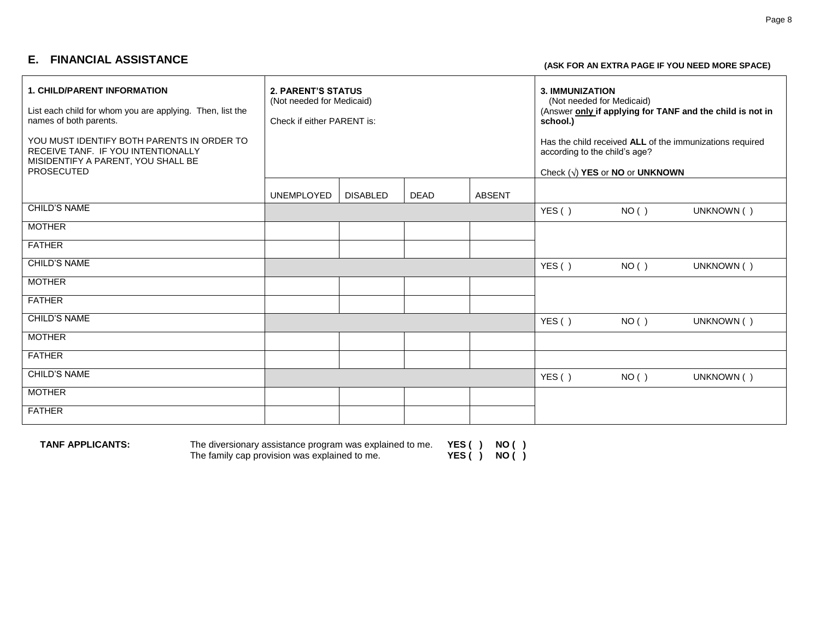# **E. FINANCIAL ASSISTANCE (ASK FOR AN EXTRA PAGE IF YOU NEED MORE SPACE)**

| <b>1. CHILD/PARENT INFORMATION</b><br>List each child for whom you are applying. Then, list the<br>names of both parents.<br>YOU MUST IDENTIFY BOTH PARENTS IN ORDER TO<br>RECEIVE TANF. IF YOU INTENTIONALLY<br>MISIDENTIFY A PARENT, YOU SHALL BE<br><b>PROSECUTED</b> | <b>2. PARENT'S STATUS</b><br>(Not needed for Medicaid)<br>Check if either PARENT is: |                 |             | <b>3. IMMUNIZATION</b><br>(Not needed for Medicaid)<br>school.)<br>according to the child's age? | Check $(\sqrt{})$ YES or NO or UNKNOWN | (Answer only if applying for TANF and the child is not in<br>Has the child received ALL of the immunizations required |            |
|--------------------------------------------------------------------------------------------------------------------------------------------------------------------------------------------------------------------------------------------------------------------------|--------------------------------------------------------------------------------------|-----------------|-------------|--------------------------------------------------------------------------------------------------|----------------------------------------|-----------------------------------------------------------------------------------------------------------------------|------------|
|                                                                                                                                                                                                                                                                          | <b>UNEMPLOYED</b>                                                                    | <b>DISABLED</b> | <b>DEAD</b> | <b>ABSENT</b>                                                                                    |                                        |                                                                                                                       |            |
| <b>CHILD'S NAME</b>                                                                                                                                                                                                                                                      |                                                                                      |                 |             |                                                                                                  | YES()                                  | NO( )                                                                                                                 | UNKNOWN () |
| <b>MOTHER</b>                                                                                                                                                                                                                                                            |                                                                                      |                 |             |                                                                                                  |                                        |                                                                                                                       |            |
| <b>FATHER</b>                                                                                                                                                                                                                                                            |                                                                                      |                 |             |                                                                                                  |                                        |                                                                                                                       |            |
| <b>CHILD'S NAME</b>                                                                                                                                                                                                                                                      |                                                                                      |                 |             |                                                                                                  | YES()                                  | NO( )                                                                                                                 | UNKNOWN () |
| <b>MOTHER</b>                                                                                                                                                                                                                                                            |                                                                                      |                 |             |                                                                                                  |                                        |                                                                                                                       |            |
| <b>FATHER</b>                                                                                                                                                                                                                                                            |                                                                                      |                 |             |                                                                                                  |                                        |                                                                                                                       |            |
| <b>CHILD'S NAME</b>                                                                                                                                                                                                                                                      |                                                                                      |                 |             |                                                                                                  | YES()                                  | NO()                                                                                                                  | UNKNOWN () |
| <b>MOTHER</b>                                                                                                                                                                                                                                                            |                                                                                      |                 |             |                                                                                                  |                                        |                                                                                                                       |            |
| <b>FATHER</b>                                                                                                                                                                                                                                                            |                                                                                      |                 |             |                                                                                                  |                                        |                                                                                                                       |            |
| <b>CHILD'S NAME</b>                                                                                                                                                                                                                                                      |                                                                                      |                 |             |                                                                                                  | YES()                                  | NO( )                                                                                                                 | UNKNOWN () |
| <b>MOTHER</b>                                                                                                                                                                                                                                                            |                                                                                      |                 |             |                                                                                                  |                                        |                                                                                                                       |            |
| <b>FATHER</b>                                                                                                                                                                                                                                                            |                                                                                      |                 |             |                                                                                                  |                                        |                                                                                                                       |            |

**TANF APPLICANTS:** The diversionary assistance program was explained to me. **YES ( ) NO ( )** The family cap provision was explained to me. **YES ( ) NO ( )**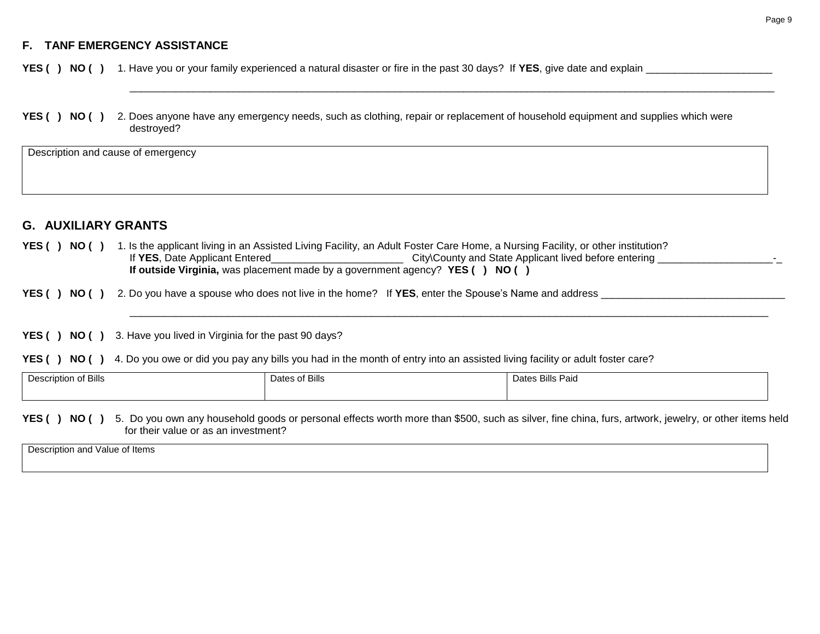# **F. TANF EMERGENCY ASSISTANCE**

**YES ( ) NO ( )** 1. Have you or your family experienced a natural disaster or fire in the past 30 days? If **YES**, give date and explain \_\_\_\_\_\_\_\_\_\_\_\_\_\_\_\_\_\_\_\_\_\_

**YES ( ) NO ( )** 2. Does anyone have any emergency needs, such as clothing, repair or replacement of household equipment and supplies which were destroyed?

\_\_\_\_\_\_\_\_\_\_\_\_\_\_\_\_\_\_\_\_\_\_\_\_\_\_\_\_\_\_\_\_\_\_\_\_\_\_\_\_\_\_\_\_\_\_\_\_\_\_\_\_\_\_\_\_\_\_\_\_\_\_\_\_\_\_\_\_\_\_\_\_\_\_\_\_\_\_\_\_\_\_\_\_\_\_\_\_\_\_\_\_\_\_\_\_\_\_\_\_\_\_\_\_\_\_\_\_\_\_\_\_

\_\_\_\_\_\_\_\_\_\_\_\_\_\_\_\_\_\_\_\_\_\_\_\_\_\_\_\_\_\_\_\_\_\_\_\_\_\_\_\_\_\_\_\_\_\_\_\_\_\_\_\_\_\_\_\_\_\_\_\_\_\_\_\_\_\_\_\_\_\_\_\_\_\_\_\_\_\_\_\_\_\_\_\_\_\_\_\_\_\_\_\_\_\_\_\_\_\_\_\_\_\_\_\_\_\_\_\_\_\_\_

Description and cause of emergency

# **G. AUXILIARY GRANTS**

- YES () NO () 1. Is the applicant living in an Assisted Living Facility, an Adult Foster Care Home, a Nursing Facility, or other institution? If **YES**, Date Applicant Entered\_\_\_\_\_\_\_\_\_\_\_\_\_\_\_\_\_\_\_\_\_\_\_ City\County and State Applicant lived before entering \_\_\_\_\_\_\_\_\_\_\_\_\_\_\_\_\_\_\_\_-\_ **If outside Virginia,** was placement made by a government agency? **YES ( ) NO ( )**
- **YES ( ) NO ( )** 2. Do you have a spouse who does not live in the home? If **YES**, enter the Spouse's Name and address \_\_\_\_\_\_\_\_\_\_\_\_\_\_\_\_\_\_\_\_\_\_\_\_\_\_\_\_\_\_\_\_

**YES ( ) NO ( )** 3. Have you lived in Virginia for the past 90 days?

**YES () NO ()** 4. Do you owe or did you pay any bills you had in the month of entry into an assisted living facility or adult foster care?

| Description of Bills | Dates of Bills | Dates Bills Paid |
|----------------------|----------------|------------------|
|                      |                |                  |
|                      |                |                  |

**YES ( ) NO ( )** 5. Do you own any household goods or personal effects worth more than \$500, such as silver, fine china, furs, artwork, jewelry, or other items held for their value or as an investment?

Description and Value of Items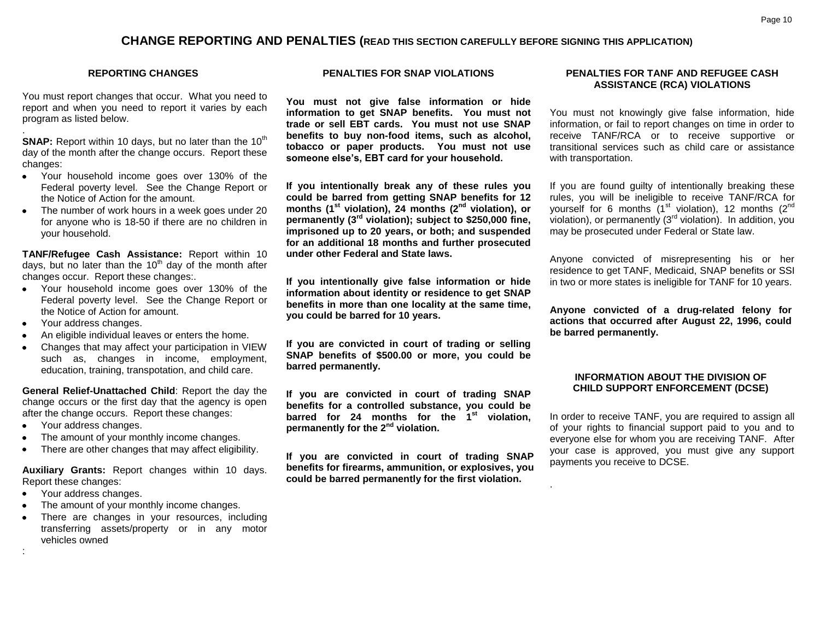# **CHANGE REPORTING AND PENALTIES (READ THIS SECTION CAREFULLY BEFORE SIGNING THIS APPLICATION)**

#### **REPORTING CHANGES**

You must report changes that occur. What you need to report and when you need to report it varies by each program as listed below.

**SNAP:** Report within 10 days, but no later than the 10<sup>th</sup> day of the month after the change occurs. Report these changes:

- Your household income goes over 130% of the  $\bullet$ Federal poverty level. See the Change Report or the Notice of Action for the amount.
- The number of work hours in a week goes under 20  $\bullet$ for anyone who is 18-50 if there are no children in your household.

**TANF/Refugee Cash Assistance:** Report within 10 days, but no later than the  $10<sup>th</sup>$  day of the month after changes occur. Report these changes:.

- Your household income goes over 130% of the Federal poverty level. See the Change Report or the Notice of Action for amount.
- Your address changes.

.

- An eligible individual leaves or enters the home.
- Changes that may affect your participation in VIEW such as, changes in income, employment, education, training, transpotation, and child care.

**General Relief-Unattached Child**: Report the day the change occurs or the first day that the agency is open after the change occurs. Report these changes:

- Your address changes.
- The amount of your monthly income changes.  $\bullet$
- There are other changes that may affect eligibility.

**Auxiliary Grants:** Report changes within 10 days. Report these changes:

• Your address changes.

:

- The amount of your monthly income changes.  $\bullet$
- There are changes in your resources, including transferring assets/property or in any motor vehicles owned

#### **PENALTIES FOR SNAP VIOLATIONS**

**You must not give false information or hide information to get SNAP benefits. You must not trade or sell EBT cards. You must not use SNAP benefits to buy non-food items, such as alcohol, tobacco or paper products. You must not use someone else's, EBT card for your household.**

**If you intentionally break any of these rules you could be barred from getting SNAP benefits for 12 months (1st violation), 24 months (2nd violation), or permanently (3rd violation); subject to \$250,000 fine, imprisoned up to 20 years, or both; and suspended for an additional 18 months and further prosecuted under other Federal and State laws.**

**If you intentionally give false information or hide information about identity or residence to get SNAP benefits in more than one locality at the same time, you could be barred for 10 years.**

**If you are convicted in court of trading or selling SNAP benefits of \$500.00 or more, you could be barred permanently.**

**If you are convicted in court of trading SNAP benefits for a controlled substance, you could be barred for 24 months for the 1st violation, permanently for the 2nd violation.**

**If you are convicted in court of trading SNAP benefits for firearms, ammunition, or explosives, you could be barred permanently for the first violation.**

#### **PENALTIES FOR TANF AND REFUGEE CASH ASSISTANCE (RCA) VIOLATIONS**

You must not knowingly give false information, hide information, or fail to report changes on time in order to receive TANF/RCA or to receive supportive or transitional services such as child care or assistance with transportation.

If you are found guilty of intentionally breaking these rules, you will be ineligible to receive TANF/RCA for yourself for 6 months  $(1<sup>st</sup>$  violation), 12 months  $(2<sup>nd</sup>$ violation), or permanently  $(3<sup>rd</sup>$  violation). In addition, you may be prosecuted under Federal or State law.

Anyone convicted of misrepresenting his or her residence to get TANF, Medicaid, SNAP benefits or SSI in two or more states is ineligible for TANF for 10 years.

**Anyone convicted of a drug-related felony for actions that occurred after August 22, 1996, could be barred permanently.**

#### **INFORMATION ABOUT THE DIVISION OF CHILD SUPPORT ENFORCEMENT (DCSE)**

In order to receive TANF, you are required to assign all of your rights to financial support paid to you and to everyone else for whom you are receiving TANF. After your case is approved, you must give any support payments you receive to DCSE.

.